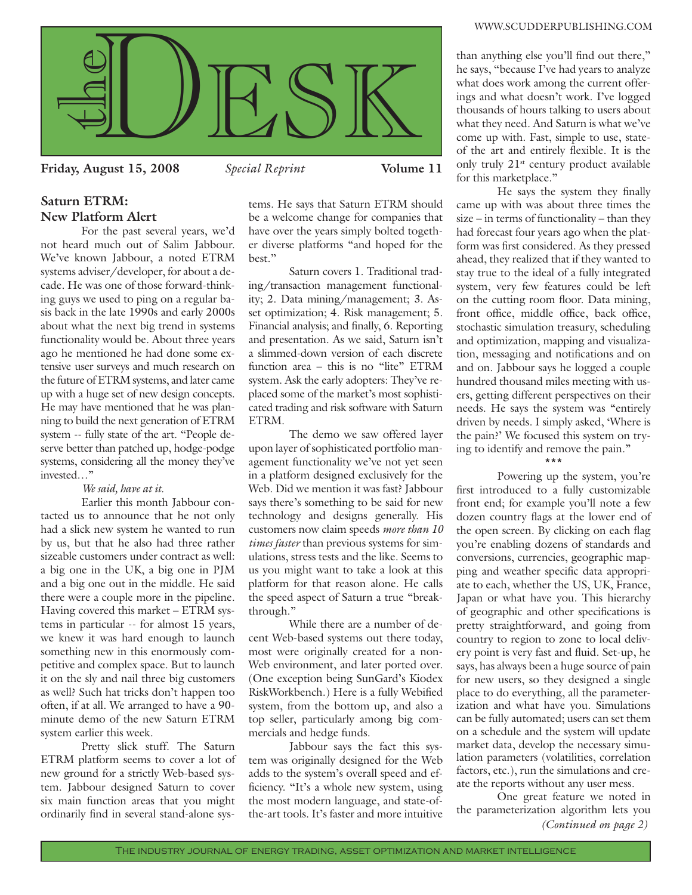

**Friday, August 15, 2008** *Special Reprint* **Volume 11**

# **Saturn ETRM: New Platform Alert**

 For the past several years, we'd not heard much out of Salim Jabbour. We've known Jabbour, a noted ETRM systems adviser/developer, for about a decade. He was one of those forward-thinking guys we used to ping on a regular basis back in the late 1990s and early 2000s about what the next big trend in systems functionality would be. About three years ago he mentioned he had done some extensive user surveys and much research on the future of ETRM systems, and later came up with a huge set of new design concepts. He may have mentioned that he was planning to build the next generation of ETRM system -- fully state of the art. "People deserve better than patched up, hodge-podge systems, considering all the money they've invested…"

## *We said, have at it.*

Earlier this month Jabbour contacted us to announce that he not only had a slick new system he wanted to run by us, but that he also had three rather sizeable customers under contract as well: a big one in the UK, a big one in PJM and a big one out in the middle. He said there were a couple more in the pipeline. Having covered this market – ETRM systems in particular -- for almost 15 years, we knew it was hard enough to launch something new in this enormously competitive and complex space. But to launch it on the sly and nail three big customers as well? Such hat tricks don't happen too often, if at all. We arranged to have a 90 minute demo of the new Saturn ETRM system earlier this week.

 Pretty slick stuff. The Saturn ETRM platform seems to cover a lot of new ground for a strictly Web-based system. Jabbour designed Saturn to cover six main function areas that you might ordinarily find in several stand-alone sys-

tems. He says that Saturn ETRM should be a welcome change for companies that have over the years simply bolted together diverse platforms "and hoped for the best."

 Saturn covers 1. Traditional trading/transaction management functionality; 2. Data mining/management; 3. Asset optimization; 4. Risk management; 5. Financial analysis; and finally, 6. Reporting and presentation. As we said, Saturn isn't a slimmed-down version of each discrete function area – this is no "lite" ETRM system. Ask the early adopters: They've replaced some of the market's most sophisticated trading and risk software with Saturn ETRM.

 The demo we saw offered layer upon layer of sophisticated portfolio management functionality we've not yet seen in a platform designed exclusively for the Web. Did we mention it was fast? Jabbour says there's something to be said for new technology and designs generally. His customers now claim speeds *more than 10 times faster* than previous systems for simulations, stress tests and the like. Seems to us you might want to take a look at this platform for that reason alone. He calls the speed aspect of Saturn a true "breakthrough."

 While there are a number of decent Web-based systems out there today, most were originally created for a non-Web environment, and later ported over. (One exception being SunGard's Kiodex RiskWorkbench.) Here is a fully Webified system, from the bottom up, and also a top seller, particularly among big commercials and hedge funds.

 Jabbour says the fact this system was originally designed for the Web adds to the system's overall speed and efficiency. "It's a whole new system, using the most modern language, and state-ofthe-art tools. It's faster and more intuitive than anything else you'll find out there," he says, "because I've had years to analyze what does work among the current offerings and what doesn't work. I've logged thousands of hours talking to users about what they need. And Saturn is what we've come up with. Fast, simple to use, stateof the art and entirely flexible. It is the only truly  $21^{st}$  century product available for this marketplace."

He says the system they finally came up with was about three times the size – in terms of functionality – than they had forecast four years ago when the platform was first considered. As they pressed ahead, they realized that if they wanted to stay true to the ideal of a fully integrated system, very few features could be left on the cutting room floor. Data mining, front office, middle office, back office, stochastic simulation treasury, scheduling and optimization, mapping and visualization, messaging and notifications and on and on. Jabbour says he logged a couple hundred thousand miles meeting with users, getting different perspectives on their needs. He says the system was "entirely driven by needs. I simply asked, 'Where is the pain?' We focused this system on trying to identify and remove the pain."

#### \*\*\*

 Powering up the system, you're first introduced to a fully customizable front end; for example you'll note a few dozen country flags at the lower end of the open screen. By clicking on each flag you're enabling dozens of standards and conversions, currencies, geographic mapping and weather specific data appropriate to each, whether the US, UK, France, Japan or what have you. This hierarchy of geographic and other specifications is pretty straightforward, and going from country to region to zone to local delivery point is very fast and fluid. Set-up, he says, has always been a huge source of pain for new users, so they designed a single place to do everything, all the parameterization and what have you. Simulations can be fully automated; users can set them on a schedule and the system will update market data, develop the necessary simulation parameters (volatilities, correlation factors, etc.), run the simulations and create the reports without any user mess.

*[\(Continued on page 2\)](#page-1-0)* One great feature we noted in the parameterization algorithm lets you